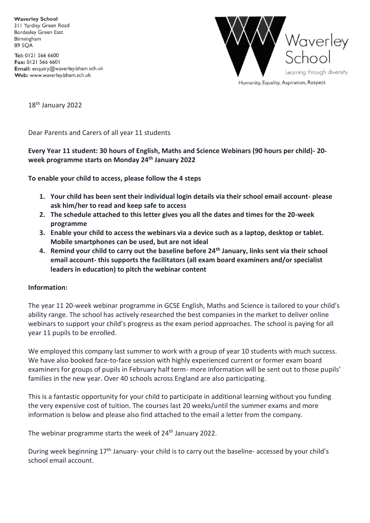**Waverley School** 311 Yardley Green Road **Bordesley Green East** Birmingham **B9 5OA** 

Tel: 0121 566 6600 Fax: 0121 566 6601 Email: enquiry@waverley.bham.sch.uk Web: www.waverley.bham.sch.uk



18<sup>th</sup> January 2022

Dear Parents and Carers of all year 11 students

# **Every Year 11 student: 30 hours of English, Maths and Science Webinars (90 hours per child)- 20 week programme starts on Monday 24th January 2022**

**To enable your child to access, please follow the 4 steps**

- **1. Your child has been sent their individual login details via their school email account- please ask him/her to read and keep safe to access**
- **2. The schedule attached to this letter gives you all the dates and times for the 20-week programme**
- **3. Enable your child to access the webinars via a device such as a laptop, desktop or tablet. Mobile smartphones can be used, but are not ideal**
- **4. Remind your child to carry out the baseline before 24th January, links sent via their school email account- this supports the facilitators (all exam board examiners and/or specialist leaders in education) to pitch the webinar content**

#### **Information:**

The year 11 20-week webinar programme in GCSE English, Maths and Science is tailored to your child's ability range. The school has actively researched the best companies in the market to deliver online webinars to support your child's progress as the exam period approaches. The school is paying for all year 11 pupils to be enrolled.

We employed this company last summer to work with a group of year 10 students with much success. We have also booked face-to-face session with highly experienced current or former exam board examiners for groups of pupils in February half term- more information will be sent out to those pupils' families in the new year. Over 40 schools across England are also participating.

This is a fantastic opportunity for your child to participate in additional learning without you funding the very expensive cost of tuition. The courses last 20 weeks/until the summer exams and more information is below and please also find attached to the email a letter from the company.

The webinar programme starts the week of 24<sup>th</sup> January 2022.

During week beginning 17<sup>th</sup> January- your child is to carry out the baseline- accessed by your child's school email account.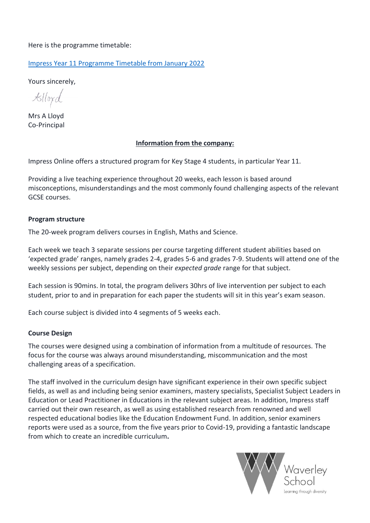Here is the programme timetable:

[Impress Year 11 Programme Timetable from January 2022](https://impress.education/wp-content/uploads/2021/12/KS4-Online-Timetable-2022.pdf)

Yours sincerely,

 $\mathcal{K}$ llox $d$ 

Mrs A Lloyd Co-Principal

# **Information from the company:**

Impress Online offers a structured program for Key Stage 4 students, in particular Year 11.

Providing a live teaching experience throughout 20 weeks, each lesson is based around misconceptions, misunderstandings and the most commonly found challenging aspects of the relevant GCSE courses.

## **Program structure**

The 20-week program delivers courses in English, Maths and Science.

Each week we teach 3 separate sessions per course targeting different student abilities based on 'expected grade' ranges, namely grades 2-4, grades 5-6 and grades 7-9. Students will attend one of the weekly sessions per subject, depending on their *expected grade* range for that subject.

Each session is 90mins. In total, the program delivers 30hrs of live intervention per subject to each student, prior to and in preparation for each paper the students will sit in this year's exam season.

Each course subject is divided into 4 segments of 5 weeks each.

# **Course Design**

The courses were designed using a combination of information from a multitude of resources. The focus for the course was always around misunderstanding, miscommunication and the most challenging areas of a specification.

The staff involved in the curriculum design have significant experience in their own specific subject fields, as well as and including being senior examiners, mastery specialists, Specialist Subject Leaders in Education or Lead Practitioner in Educations in the relevant subject areas. In addition, Impress staff carried out their own research, as well as using established research from renowned and well respected educational bodies like the Education Endowment Fund. In addition, senior examiners reports were used as a source, from the five years prior to Covid-19, providing a fantastic landscape from which to create an incredible curriculum**.**

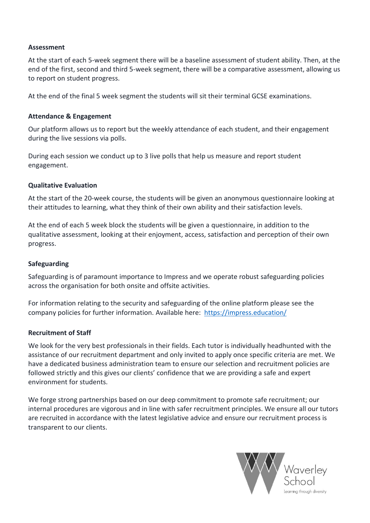#### **Assessment**

At the start of each 5-week segment there will be a baseline assessment of student ability. Then, at the end of the first, second and third 5-week segment, there will be a comparative assessment, allowing us to report on student progress.

At the end of the final 5 week segment the students will sit their terminal GCSE examinations.

#### **Attendance & Engagement**

Our platform allows us to report but the weekly attendance of each student, and their engagement during the live sessions via polls.

During each session we conduct up to 3 live polls that help us measure and report student engagement.

#### **Qualitative Evaluation**

At the start of the 20-week course, the students will be given an anonymous questionnaire looking at their attitudes to learning, what they think of their own ability and their satisfaction levels.

At the end of each 5 week block the students will be given a questionnaire, in addition to the qualitative assessment, looking at their enjoyment, access, satisfaction and perception of their own progress.

#### **Safeguarding**

Safeguarding is of paramount importance to Impress and we operate robust safeguarding policies across the organisation for both onsite and offsite activities.

For information relating to the security and safeguarding of the online platform please see the company policies for further information. Available here: <https://impress.education/>

#### **Recruitment of Staff**

We look for the very best professionals in their fields. Each tutor is individually headhunted with the assistance of our recruitment department and only invited to apply once specific criteria are met. We have a dedicated business administration team to ensure our selection and recruitment policies are followed strictly and this gives our clients' confidence that we are providing a safe and expert environment for students.

We forge strong partnerships based on our deep commitment to promote safe recruitment; our internal procedures are vigorous and in line with safer recruitment principles. We ensure all our tutors are recruited in accordance with the latest legislative advice and ensure our recruitment process is transparent to our clients.

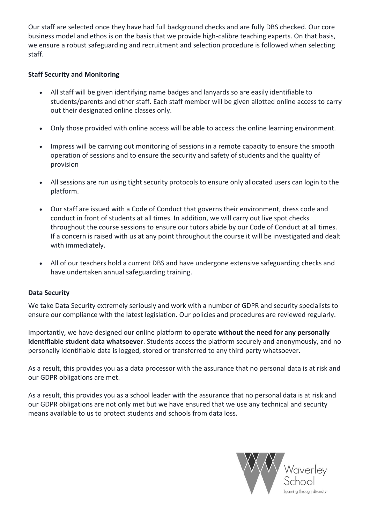Our staff are selected once they have had full background checks and are fully DBS checked. Our core business model and ethos is on the basis that we provide high-calibre teaching experts. On that basis, we ensure a robust safeguarding and recruitment and selection procedure is followed when selecting staff.

# **Staff Security and Monitoring**

- All staff will be given identifying name badges and lanyards so are easily identifiable to students/parents and other staff. Each staff member will be given allotted online access to carry out their designated online classes only.
- Only those provided with online access will be able to access the online learning environment.
- Impress will be carrying out monitoring of sessions in a remote capacity to ensure the smooth operation of sessions and to ensure the security and safety of students and the quality of provision
- All sessions are run using tight security protocols to ensure only allocated users can login to the platform.
- Our staff are issued with a Code of Conduct that governs their environment, dress code and conduct in front of students at all times. In addition, we will carry out live spot checks throughout the course sessions to ensure our tutors abide by our Code of Conduct at all times. If a concern is raised with us at any point throughout the course it will be investigated and dealt with immediately.
- All of our teachers hold a current DBS and have undergone extensive safeguarding checks and have undertaken annual safeguarding training.

# **Data Security**

We take Data Security extremely seriously and work with a number of GDPR and security specialists to ensure our compliance with the latest legislation. Our policies and procedures are reviewed regularly.

Importantly, we have designed our online platform to operate **without the need for any personally identifiable student data whatsoever**. Students access the platform securely and anonymously, and no personally identifiable data is logged, stored or transferred to any third party whatsoever.

As a result, this provides you as a data processor with the assurance that no personal data is at risk and our GDPR obligations are met.

As a result, this provides you as a school leader with the assurance that no personal data is at risk and our GDPR obligations are not only met but we have ensured that we use any technical and security means available to us to protect students and schools from data loss.